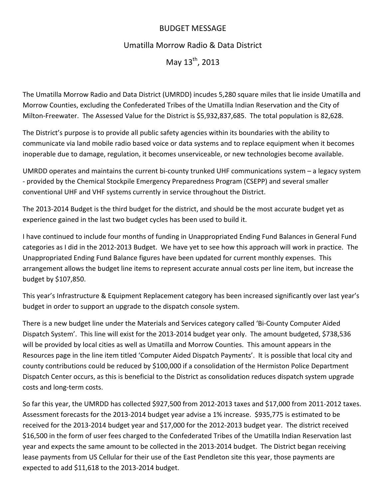## BUDGET MESSAGE

## Umatilla Morrow Radio & Data District

May  $13^{th}$ , 2013

The Umatilla Morrow Radio and Data District (UMRDD) incudes 5,280 square miles that lie inside Umatilla and Morrow Counties, excluding the Confederated Tribes of the Umatilla Indian Reservation and the City of Milton‐Freewater. The Assessed Value for the District is \$5,932,837,685. The total population is 82,628.

The District's purpose is to provide all public safety agencies within its boundaries with the ability to communicate via land mobile radio based voice or data systems and to replace equipment when it becomes inoperable due to damage, regulation, it becomes unserviceable, or new technologies become available.

UMRDD operates and maintains the current bi-county trunked UHF communications system – a legacy system ‐ provided by the Chemical Stockpile Emergency Preparedness Program (CSEPP) and several smaller conventional UHF and VHF systems currently in service throughout the District.

The 2013‐2014 Budget is the third budget for the district, and should be the most accurate budget yet as experience gained in the last two budget cycles has been used to build it.

I have continued to include four months of funding in Unappropriated Ending Fund Balances in General Fund categories as I did in the 2012‐2013 Budget. We have yet to see how this approach will work in practice. The Unappropriated Ending Fund Balance figures have been updated for current monthly expenses. This arrangement allows the budget line items to represent accurate annual costs per line item, but increase the budget by \$107,850.

This year's Infrastructure & Equipment Replacement category has been increased significantly over last year's budget in order to support an upgrade to the dispatch console system.

There is a new budget line under the Materials and Services category called 'Bi‐County Computer Aided Dispatch System'. This line will exist for the 2013‐2014 budget year only. The amount budgeted, \$738,536 will be provided by local cities as well as Umatilla and Morrow Counties. This amount appears in the Resources page in the line item titled 'Computer Aided Dispatch Payments'. It is possible that local city and county contributions could be reduced by \$100,000 if a consolidation of the Hermiston Police Department Dispatch Center occurs, as this is beneficial to the District as consolidation reduces dispatch system upgrade costs and long‐term costs.

So far this year, the UMRDD has collected \$927,500 from 2012‐2013 taxes and \$17,000 from 2011‐2012 taxes. Assessment forecasts for the 2013-2014 budget year advise a 1% increase. \$935,775 is estimated to be received for the 2013‐2014 budget year and \$17,000 for the 2012‐2013 budget year. The district received \$16,500 in the form of user fees charged to the Confederated Tribes of the Umatilla Indian Reservation last year and expects the same amount to be collected in the 2013‐2014 budget. The District began receiving lease payments from US Cellular for their use of the East Pendleton site this year, those payments are expected to add \$11,618 to the 2013‐2014 budget.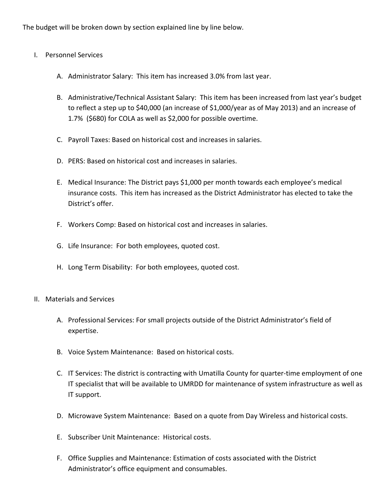The budget will be broken down by section explained line by line below.

- I. Personnel Services
	- A. Administrator Salary: This item has increased 3.0% from last year.
	- B. Administrative/Technical Assistant Salary: This item has been increased from last year's budget to reflect a step up to \$40,000 (an increase of \$1,000/year as of May 2013) and an increase of 1.7% (\$680) for COLA as well as \$2,000 for possible overtime.
	- C. Payroll Taxes: Based on historical cost and increases in salaries.
	- D. PERS: Based on historical cost and increases in salaries.
	- E. Medical Insurance: The District pays \$1,000 per month towards each employee's medical insurance costs. This item has increased as the District Administrator has elected to take the District's offer.
	- F. Workers Comp: Based on historical cost and increases in salaries.
	- G. Life Insurance: For both employees, quoted cost.
	- H. Long Term Disability: For both employees, quoted cost.
- II. Materials and Services
	- A. Professional Services: For small projects outside of the District Administrator's field of expertise.
	- B. Voice System Maintenance: Based on historical costs.
	- C. IT Services: The district is contracting with Umatilla County for quarter‐time employment of one IT specialist that will be available to UMRDD for maintenance of system infrastructure as well as IT support.
	- D. Microwave System Maintenance: Based on a quote from Day Wireless and historical costs.
	- E. Subscriber Unit Maintenance: Historical costs.
	- F. Office Supplies and Maintenance: Estimation of costs associated with the District Administrator's office equipment and consumables.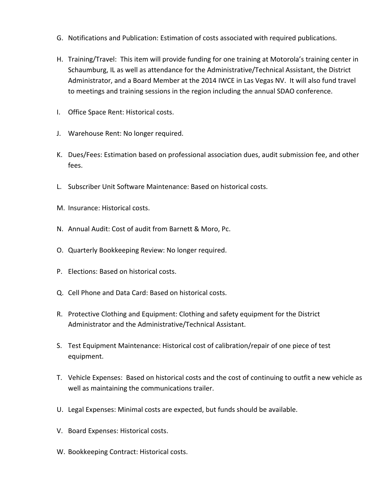- G. Notifications and Publication: Estimation of costs associated with required publications.
- H. Training/Travel: This item will provide funding for one training at Motorola's training center in Schaumburg, IL as well as attendance for the Administrative/Technical Assistant, the District Administrator, and a Board Member at the 2014 IWCE in Las Vegas NV. It will also fund travel to meetings and training sessions in the region including the annual SDAO conference.
- I. Office Space Rent: Historical costs.
- J. Warehouse Rent: No longer required.
- K. Dues/Fees: Estimation based on professional association dues, audit submission fee, and other fees.
- L. Subscriber Unit Software Maintenance: Based on historical costs.
- M. Insurance: Historical costs.
- N. Annual Audit: Cost of audit from Barnett & Moro, Pc.
- O. Quarterly Bookkeeping Review: No longer required.
- P. Elections: Based on historical costs.
- Q. Cell Phone and Data Card: Based on historical costs.
- R. Protective Clothing and Equipment: Clothing and safety equipment for the District Administrator and the Administrative/Technical Assistant.
- S. Test Equipment Maintenance: Historical cost of calibration/repair of one piece of test equipment.
- T. Vehicle Expenses: Based on historical costs and the cost of continuing to outfit a new vehicle as well as maintaining the communications trailer.
- U. Legal Expenses: Minimal costs are expected, but funds should be available.
- V. Board Expenses: Historical costs.
- W. Bookkeeping Contract: Historical costs.